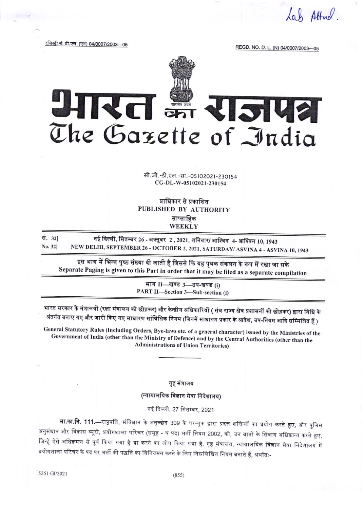Cah Attend

रजिस्ट्री सं. डी.एल. (एन) 04/0007/2003—05

REGD. NO. D. L. (N) 04/0007/2003-05

## SHIREI SH RIPLIE The Gazette of India

सी.जी.-डी.एल.-सा.-05102021-230154 CG-DL-W-05102021-230154

प्राधिकार से प्रकाशित PUBLISHED BY AUTHORITY साप्ताहिक WEEKLY

नई दिल्ली, सितम्बर 26 - अक्तूबर 2 , 2021, शनिवार/ आश्विन 4- आश्विन 10, 1943 सं. 321 NEW DELHI, SEPTEMBER 26 - OCTOBER 2, 2021, SATURDAY/ ASVINA 4 - ASVINA 10, 1943 No. 321

इस भाग में भिन्न पृष्ठ संख्या दी जाती है जिससे कि यह पृथक संकलन के रूप में रखा जा सके Separate Paging is given to this Part in order that it may be filed as a separate compilation

> भाग II-खण्ड 3-उप-खण्ड (i) PART II-Section 3-Sub-section (i)

भारत सरकार के मंत्रालयों (रक्षा मंत्रालय को छोड़कर) और केन्द्रीय अधिकारियों ( संघ राज्य क्षेत्र प्रशासनों को छोड़कर) द्वारा विधि के अंतर्गत बनाए गए और जारी किए गए साधारण सांविधिक नियम (जिनमें साधारण प्रकार के आदेश, उप-नियम आदि सम्मिलित हैं )

General Statutory Rules (Including Orders, Bye-laws etc. of a general character) issued by the Ministries of the Government of India (other than the Ministry of Defence) and by the Central Authorities (other than the **Administrations of Union Territories)** 

गृह मंत्रालय

(न्यायालयिक विज्ञान सेवा निदेशालय)

नई दिल्ली, 27 सितम्बर, 2021

**सा.का.नि. 111.—**राष्ट्रपति, संविधान के अनुच्छेद 309 के परन्तुक द्वारा प्रदत्त शक्तियों का प्रयोग करते हुए, और पुलिस अनुसंधान और विकास ब्यूरो, प्रयोगशाला परिचर (समूह - घ पद) भर्ती नियम 2002, को, उन बातों के सिवाय अधिक्रान्त करते हुए, जिन्हें ऐसे अधिक्रमण से पूर्व किया गया है या करने का लोप किया गया है, गृह मंत्रालय, न्यायालयिक विज्ञान सेवा निदेशालय में प्रयोगशाला परिचर के पद पर भर्ती की पद्धति का विनियमन करने के लिए निम्नलिखित नियम बनाते हैं, अर्थातः-

5251 GI/2021

 $(855)$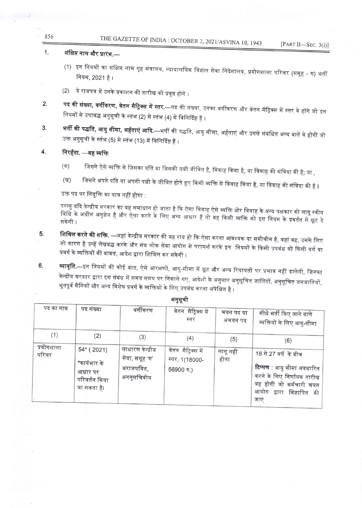## THE GAZETTE OF INDIA: OCTOBER 2, 2021/ASVINA 10, 1943

## $1.$ संक्षिप्त नाम और प्रारंभ.—

856

- (1) इन नियमों का संक्षिप्त नाम गृह मंत्रालय, न्यायालयिक विज्ञान सेवा निदेशालय, प्रयोगशाला परिचर (समूह ग) भर्ती नियम, 2021 है।
- (2) ये राजपत्र में उनके प्रकाशन की तारीख को प्रवृत होगें ।
- **पद की संख्या, वर्गीकरण, वेतन मैट्रिक्स में स्तर.**—पद की संख्या, उनका वर्गीकरण और वेतन मैट्रिक्स में स्तर वे होंगे जो इन 2. नियमों से उपाबद्ध अनुसूची के स्तंभ (2) से स्तंभ (4) में विनिर्दिष्ट है ।
- **भर्ती की पद्धति, आयु सीमा, अर्हताएं आदि.**—भर्ती की पद्धति, आयु सीमा, अर्हताएं और उनसे संबंधित अन्य बातें वे होंगी जो 3. उक्त अनुसूची के स्तंभ (5) से स्तंभ (13) में विनिर्दिष्ट हैं ।

## 4. निरर्हता. —वह व्यक्ति

- जिसने ऐसे व्यक्ति से जिसका पति या जिसकी पत्नी जीवित है, विवाह किया है, या विवाह की संविदा की है; या ,  $($ क)
- जिसने अपने पति या अपनी पत्नी के जीवित होते हुए किसी व्यक्ति से विवाह किया है, या विवाह की संविदा की है I (ख)

उक्त पद पर नियुक्ति का पात्र नहीं होगा :

परन्तु यदि केन्द्रीय सरकार का यह समाधान हो जाता है कि ऐसा विवाह ऐसे व्यक्ति ओर विवाह के अन्य पक्षकार को लागू स्वीय विधि के अधीन अनुज्ञेय है और ऐसा करने के लिए अन्य आधार हैं तो वह किसी व्यक्ति को इस नियम के प्रवर्तन से छूट दे

- **शिथिल करने की शक्ति.** —जहां केन्द्रीय सरकार की यह राय हो कि ऐसा करना आवश्यक या समीचीन है, वहां वह, उसके लिए 5. जो कारण है उन्हें लेखबद्ध करके और संघ लोक सेवा आयोग से परामर्श करके इन नियमों के किसी उपबंध को किसी वर्ग या प्रवर्ग के व्यक्तियों की बाबत, आदेश द्वारा शिथिल कर सकेगी ।
- **व्यावृति.—**इन नियमों की कोई बात, ऐसे आरक्षणों, आयु-सीमा में छूट और अन्य रियायतों पर प्रभाव नहीं डालेगी, जिनका 6. केन्द्रीय सरकार द्वारा इस संबंध में समय समय पर निकाले गए, आदेशों के अनुसार अनुसूचित जातियों, अनुसूचित जनजातियों, भूतपूर्व सैनिकों और अन्य विशेष प्रवर्ग के व्यक्तियों के लिए उपबंध करना अपेक्षित है ।

| पद का नाम         | पद संख्या                                                              | वर्गीकरण                                                        | वेतन मैट्रिक्स में<br>स्तर                         | चयन पद या<br>अचयन पद | सीधे भर्ती किए जाने वाले<br>व्यक्तियों के लिए आयु-सीमा                                                                                        |
|-------------------|------------------------------------------------------------------------|-----------------------------------------------------------------|----------------------------------------------------|----------------------|-----------------------------------------------------------------------------------------------------------------------------------------------|
| (1)<br>प्रयोगशाला | (2)                                                                    | (3)                                                             | (4)                                                | (5)                  | (6)                                                                                                                                           |
| परिचर             | $54*(2021)$<br>*कार्यभार के<br>आधार पर<br>परिवर्तन किया<br>जा सकता है। | साधारण केन्द्रीय<br>सेवा, समूह 'ग'<br>अराजपत्रित,<br>अननुसचिवीय | वेतन मैट्रिक्स में<br>स्तर. 1(18000-<br>56900 रु.) | लागू नहीं<br>होता    | 18 से 27 वर्ष के बीच<br>टिप्पण : आयु सीमा अवधारित<br>करने के लिए निर्णायक तारीख<br>वह होगी जो कर्मचारी चयन<br>आयोग द्वारा विज्ञापित की<br>जाए |

अनुसूची